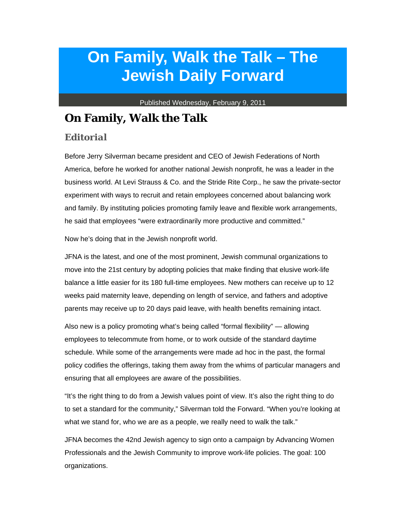## **On Family, Walk the Talk – The Jewish Daily Forward**

Published Wednesday, February 9, 2011

## **On Family, Walk the Talk**

## *Editorial*

Before Jerry Silverman became president and CEO of Jewish Federations of North America, before he worked for another national Jewish nonprofit, he was a leader in the business world. At Levi Strauss & Co. and the Stride Rite Corp., he saw the private-sector experiment with ways to recruit and retain employees concerned about balancing work and family. By instituting policies promoting family leave and flexible work arrangements, he said that employees "were extraordinarily more productive and committed."

Now he's doing that in the Jewish nonprofit world.

JFNA is the latest, and one of the most prominent, Jewish communal organizations to move into the 21st century by adopting policies that make finding that elusive work-life balance a little easier for its 180 full-time employees. New mothers can receive up to 12 weeks paid maternity leave, depending on length of service, and fathers and adoptive parents may receive up to 20 days paid leave, with health benefits remaining intact.

Also new is a policy promoting what's being called "formal flexibility" — allowing employees to telecommute from home, or to work outside of the standard daytime schedule. While some of the arrangements were made ad hoc in the past, the formal policy codifies the offerings, taking them away from the whims of particular managers and ensuring that all employees are aware of the possibilities.

"It's the right thing to do from a Jewish values point of view. It's also the right thing to do to set a standard for the community," Silverman told the Forward. "When you're looking at what we stand for, who we are as a people, we really need to walk the talk."

JFNA becomes the 42nd Jewish agency to sign onto a campaign by Advancing Women Professionals and the Jewish Community to improve work-life policies. The goal: 100 organizations.